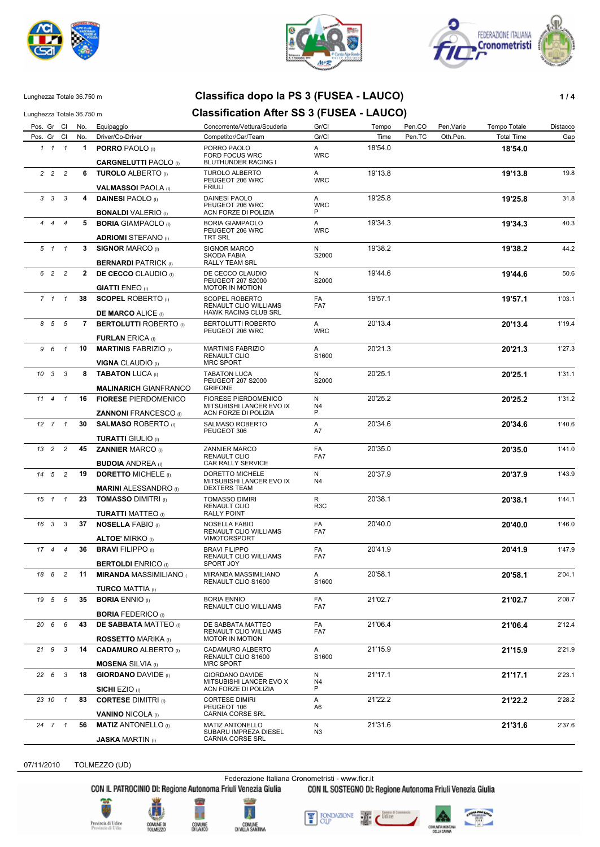





### Lunghezza Totale 36.750 m **Classifica dopo la PS 3 (FUSEA - LAUCO) 1 / 4**

# Lunghezza Totale 36.750 m **Classification After SS 3 (FUSEA - LAUCO)**

| Pos. Gr Cl No. |                         |                              | Equipaggio                                                | Concorrente/Vettura/Scuderia                                           | Gr/Cl                | Tempo   | Pen.CO | Pen.Varie | Tempo Totale      | Distacco |
|----------------|-------------------------|------------------------------|-----------------------------------------------------------|------------------------------------------------------------------------|----------------------|---------|--------|-----------|-------------------|----------|
| Pos. Gr Cl     |                         | No.                          | Driver/Co-Driver                                          | Competitor/Car/Team                                                    | Gr/Cl                | Time    | Pen.TC | Oth.Pen.  | <b>Total Time</b> | Gap      |
|                | $1 \quad 1 \quad 1$     | $\mathbf 1$                  | <b>PORRO PAOLO</b> (I)                                    | PORRO PAOLO<br>FORD FOCUS WRC                                          | Α<br><b>WRC</b>      | 18'54.0 |        |           | 18'54.0           |          |
|                |                         | <b>CARGNELUTTI PAOLO (I)</b> | BLUTHUNDER RACING I                                       |                                                                        |                      |         |        |           |                   |          |
|                | $2\quad 2\quad 2$       |                              | <b>6 TUROLO ALBERTO (I)</b>                               | <b>TUROLO ALBERTO</b><br>PEUGEOT 206 WRC                               | A<br><b>WRC</b>      | 19'13.8 |        |           | 19'13.8           | 19.8     |
|                |                         |                              | <b>VALMASSOI PAOLA</b> (I)                                | <b>FRIULI</b>                                                          |                      |         |        |           |                   |          |
|                | $3 \quad 3 \quad 3$     |                              | 4 DAINESI PAOLO (I)<br><b>BONALDI</b> VALERIO (I)         | DAINESI PAOLO<br>PEUGEOT 206 WRC<br>ACN FORZE DI POLIZIA               | A<br><b>WRC</b><br>P | 19'25.8 |        |           | 19'25.8           | 31.8     |
|                | 444                     |                              | <b>5 BORIA</b> GIAMPAOLO (I)                              | <b>BORIA GIAMPAOLO</b>                                                 | A                    | 19'34.3 |        |           | 19'34.3           | 40.3     |
|                |                         |                              | <b>ADRIOMI STEFANO</b> (I)                                | PEUGEOT 206 WRC<br>TRT SRL                                             | <b>WRC</b>           |         |        |           |                   |          |
|                | 5 1 1                   |                              | 3 SIGNOR MARCO (I)                                        | SIGNOR MARCO                                                           | N                    | 19'38.2 |        |           | 19'38.2           | 44.2     |
|                |                         |                              | <b>BERNARDI PATRICK (I)</b>                               | SKODA FABIA<br>RALLY TEAM SRL                                          | S2000                |         |        |           |                   |          |
|                | 6 2 2                   |                              | <b>2 DE CECCO</b> CLAUDIO (I)                             | DE CECCO CLAUDIO<br>PEUGEOT 207 S2000                                  | N<br>S2000           | 19'44.6 |        |           | 19'44.6           | 50.6     |
|                |                         |                              | <b>GIATTI ENEO</b> (I)                                    | MOTOR IN MOTION                                                        |                      |         |        |           |                   |          |
|                | $7 \quad 1 \quad 1$     |                              | <b>38 SCOPEL ROBERTO</b> (i)<br><b>DE MARCO ALICE (I)</b> | SCOPEL ROBERTO<br>RENAULT CLIO WILLIAMS<br><b>HAWK RACING CLUB SRL</b> | FA<br>FA7            | 19'57.1 |        |           | 19'57.1           | 1'03.1   |
|                | 8 5 5                   |                              | 7 BERTOLUTTI ROBERTO (I)                                  | BERTOLUTTI ROBERTO                                                     | A                    | 20'13.4 |        |           | 20'13.4           | 1'19.4   |
|                |                         |                              |                                                           | PEUGEOT 206 WRC                                                        | <b>WRC</b>           |         |        |           |                   |          |
|                |                         |                              | <b>FURLAN ERICA (I)</b>                                   |                                                                        |                      |         |        |           |                   |          |
| 9 6            | $\overline{1}$          | 10                           | <b>MARTINIS FABRIZIO</b> (I)                              | <b>MARTINIS FABRIZIO</b><br>RENAULT CLIO                               | A<br>S1600           | 20'21.3 |        |           | 20'21.3           | 1'27.3   |
|                |                         |                              | <b>VIGNA CLAUDIO (I)</b>                                  | <b>MRC SPORT</b>                                                       |                      |         |        |           |                   |          |
|                | $10 \quad 3 \quad 3$    |                              | 8 <b>TABATON LUCA</b> (I)                                 | <b>TABATON LUCA</b>                                                    | N                    | 20'25.1 |        |           | 20'25.1           | 1'31.1   |
|                |                         |                              | <b>MALINARICH GIANFRANCO</b>                              | PEUGEOT 207 S2000<br><b>GRIFONE</b>                                    | S2000                |         |        |           |                   |          |
|                |                         |                              | <b>16 FIORESE PIERDOMENICO</b>                            | FIORESE PIERDOMENICO                                                   | N                    | 20'25.2 |        |           | 20'25.2           | 1'31.2   |
| 11 4 1         |                         |                              |                                                           | MITSUBISHI LANCER EVO IX                                               | N4                   |         |        |           |                   |          |
|                |                         |                              | <b>ZANNONI FRANCESCO</b> (I)                              | ACN FORZE DI POLIZIA                                                   | P                    |         |        |           |                   |          |
|                | $12 \quad 7 \quad 1$    | 30                           | <b>SALMASO ROBERTO</b> (I)                                | SALMASO ROBERTO                                                        | A                    | 20'34.6 |        |           | 20'34.6           | 1'40.6   |
|                |                         |                              | <b>TURATTI GIULIO</b> (I)                                 | PEUGEOT 306                                                            | A7                   |         |        |           |                   |          |
|                | 13 2 2                  | 45                           | <b>ZANNIER MARCO (I)</b>                                  | ZANNIER MARCO                                                          | FA                   | 20'35.0 |        |           | 20'35.0           | 1'41.0   |
|                |                         |                              | <b>BUDOIA ANDREA</b> (I)                                  | RENAULT CLIO<br>CAR RALLY SERVICE                                      | FA7                  |         |        |           |                   |          |
| 14 5           | $\overline{2}$          | 19                           | <b>DORETTO MICHELE (I)</b>                                | DORETTO MICHELE                                                        | N                    | 20'37.9 |        |           |                   | 1'43.9   |
|                |                         |                              | <b>MARINI ALESSANDRO</b> (I)                              | MITSUBISHI LANCER EVO IX<br><b>DEXTERS TEAM</b>                        | N4                   |         |        |           | 20'37.9           |          |
| $15 \quad 1$   | $\overline{1}$          |                              | 23 TOMASSO DIMITRI (I)                                    | <b>TOMASSO DIMIRI</b>                                                  | R                    | 20'38.1 |        |           | 20'38.1           | 1'44.1   |
|                |                         |                              | <b>TURATTI MATTEO</b> (I)                                 | RENAULT CLIO<br><b>RALLY POINT</b>                                     | R <sub>3</sub> C     |         |        |           |                   |          |
|                | 16 3 3                  | 37                           |                                                           |                                                                        | FA                   | 20'40.0 |        |           |                   |          |
|                |                         |                              | <b>NOSELLA FABIO</b> (I)                                  | NOSELLA FABIO<br>RENAULT CLIO WILLIAMS                                 | FA7                  |         |        |           | 20'40.0           | 1'46.0   |
|                |                         |                              | <b>ALTOE' MIRKO</b> (I)                                   | <b>VIMOTORSPORT</b>                                                    |                      |         |        |           |                   |          |
|                | $17 \quad 4 \quad 4$    | 36                           | <b>BRAVI FILIPPO (I)</b>                                  | <b>BRAVI FILIPPO</b><br>RENAULT CLIO WILLIAMS<br>SPORT JOY             | FA<br>FA7            | 20'41.9 |        |           | 20'41.9           | 1'47.9   |
|                |                         |                              | <b>BERTOLDI ENRICO (I)</b><br><b>MIRANDA MASSIMILIANO</b> |                                                                        |                      |         |        |           |                   |          |
|                | 18 8 2                  | 11                           | <b>TURCO MATTIA (I)</b>                                   | MIRANDA MASSIMILIANO<br>RENAULT CLIO S1600                             | Α<br>S1600           | 20'58.1 |        |           | 20'58.1           | 2'04.1   |
| 19 5           | $5\overline{5}$         | 35                           | <b>BORIA ENNIO</b> (I)                                    | <b>BORIA ENNIO</b>                                                     | FA                   | 21'02.7 |        |           | 21'02.7           | 2'08.7   |
|                |                         |                              | <b>BORIA FEDERICO</b> (I)                                 | RENAULT CLIO WILLIAMS                                                  | FA7                  |         |        |           |                   |          |
| 20 6           | 6                       | 43                           | <b>DE SABBATA MATTEO</b> (I)                              | DE SABBATA MATTEO                                                      | FA                   | 21'06.4 |        |           | 21'06.4           | 2'12.4   |
|                |                         |                              | <b>ROSSETTO MARIKA</b> (I)                                | RENAULT CLIO WILLIAMS<br>MOTOR IN MOTION                               | FA7                  |         |        |           |                   |          |
| 21 9           | 3                       | 14                           | <b>CADAMURO ALBERTO (I)</b>                               | CADAMURO ALBERTO                                                       | A                    | 21'15.9 |        |           | 21'15.9           | 2'21.9   |
|                |                         |                              | <b>MOSENA</b> SILVIA (I)                                  | RENAULT CLIO S1600<br><b>MRC SPORT</b>                                 | S1600                |         |        |           |                   |          |
| 226            | $\overline{\mathbf{3}}$ | 18                           | <b>GIORDANO DAVIDE (I)</b>                                | GIORDANO DAVIDE                                                        | N                    | 21'17.1 |        |           | 21'17.1           | 2'23.1   |
|                |                         |                              | <b>SICHI EZIO</b> (I)                                     | MITSUBISHI LANCER EVO X<br>ACN FORZE DI POLIZIA                        | N4<br>P              |         |        |           |                   |          |
|                | 23 10 1                 | 83                           | <b>CORTESE DIMITRI</b> (I)                                | <b>CORTESE DIMIRI</b>                                                  | Α                    | 21'22.2 |        |           | 21'22.2           | 2'28.2   |
|                |                         |                              | <b>VANINO NICOLA (I)</b>                                  | PEUGEOT 106<br>CARNIA CORSE SRL                                        | A6                   |         |        |           |                   |          |
|                | 24 7 1                  | 56                           | <b>MATIZ ANTONELLO</b> (I)                                | <b>MATIZ ANTONELLO</b>                                                 | N                    | 21'31.6 |        |           | 21'31.6           | 2'37.6   |
|                |                         |                              | <b>JASKA MARTIN</b> (I)                                   | SUBARU IMPREZA DIESEL<br>CARNIA CORSE SRL                              | N3                   |         |        |           |                   |          |

07/11/2010 TOLMEZZO (UD)

Federazione Italiana Cronometristi - www.ficr.it<br>CON IL PATROCINIO DI: Regione Autonoma Friuli Venezia Giulia CON IL SOSTEGNO DI:

CON IL SOSTEGNO DI: Regione Autonoma Friuli Venezia Giulia









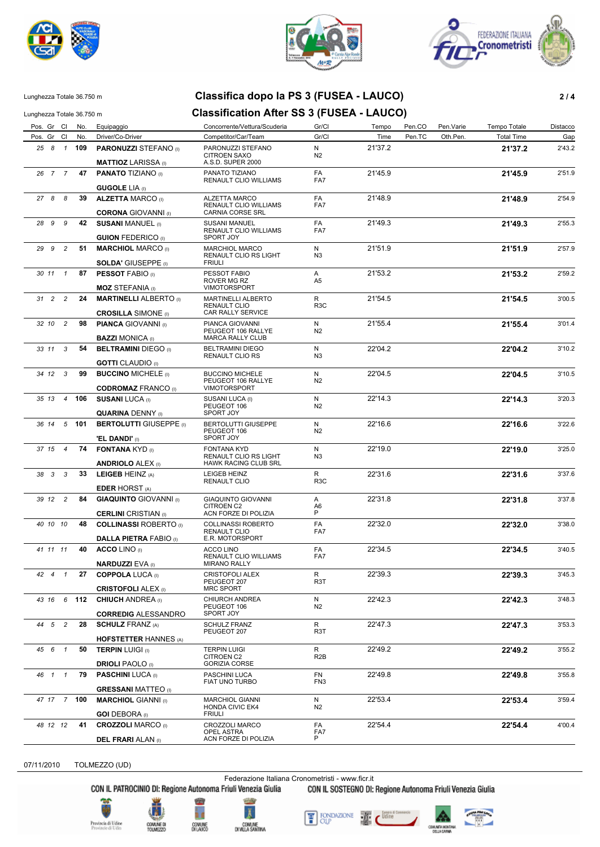





#### Lunghezza Totale 36.750 m **Classifica dopo la PS 3 (FUSEA - LAUCO) 2 / 4**

### Lunghezza Totale 36.750 m **Classification After SS 3 (FUSEA - LAUCO)**

Pos. Gr Cl No. Equipaggio Concorrente/Vettura/Scuderia Gr/Cl Tempo Pen.CO Pen.Varie Tempo Totale Distacco Pos. Gr Cl No. Driver/Co-Driver Competitor/Car/Team Gr/Cl Gr/Cl Time Pen.TC Oth.Pen. Total Time Gap *25* **109 PARONUZZI** STEFANO (I) PARONUZZI STEFANO **21'37.2** 2'43.2 CITROEN SAXO  *8 1* **MATTIOZ** LARISSA (I) 21'37.2 A.S.D. SUPER 2000 N N2 *26* **47 PANATO** TIZIANO (I) PANATO TIZIANO **21'45.9** 2'51.9 RENAULT CLIO WILLIAMS  *7 7* **GUGOLE** LIA (I) FA 21'45.9 FA<sub>7</sub> *27* **39 ALZETTA** MARCO (I) ALZETTA MARCO **21'48.9** 2'54.9 RENAULT CLIO WILLIAMS  *8 8* **CORONA** GIOVANNI (I) 21'48.9 CARNIA CORSE SRL FA FA7 *28* **42 SUSANI** MANUEL (I) SUSANI MANUEL **21'49.3** 2'55.3 RENAULT CLIO WILLIAMS  *9 9* **GUION FEDERICO** (I) 21'49.3 SPORT JOY FA  $FA7$ *29* **51 MARCHIOL** MARCO (I) MARCHIOL MARCO **21'51.9** 2'57.9 RENAULT CLIO RS LIGHT  *9 2* **SOLDA'** GIUSEPPE (I) 21'51.9 FRIULI N N3 *30* **87 PESSOT** FABIO (I) PESSOT FABIO **21'53.2** 2'59.2 ROVER MG RZ  *11 1* **MOZ** STEFANIA (I) 21'53.2 VIMOTORSPORT A A5 *31* **24 MARTINELLI** ALBERTO (I) MARTINELLI ALBERTO **21'54.5** 3'00.5 RENAULT CLIO  *2 2* **CROSILLA** SIMONE (I) 21'54.5 CAR RALLY SERVICE R<br>R3C *32* **98 PIANCA** GIOVANNI (I) PIANCA GIOVANNI **21'55.4** 3'01.4 PEUGEOT 106 RALLYE  *10 2* **BAZZI** MONICA (I) 21'55.4 MARCA RALLY CLUB N  $\overline{N2}$ *33* **54 BELTRAMINI** DIEGO (I) BELTRAMINI DIEGO **22'04.2** 3'10.2 RENAULT CLIO RS  *11 3* **GOTTI** CLAUDIO (I) 22'04.2 N3 *34* **99 BUCCINO** MICHELE (I) BUCCINO MICHELE **22'04.5** 3'10.5 PEUGEOT 106 RALLYE  *12 3* **CODROMAZ** FRANCO (I) 22'04.5 VIMOTORSPORT N N2 *35* **106 SUSANI** LUCA (I) SUSANI LUCA (I) **22'14.3** 3'20.3 PEUGEOT 106  *13 4* **QUARINA** DENNY (I) 22'14.3 SPORT JOY N  $\overline{N2}$ *36* **101 BERTOLUTTI** GIUSEPPE (I) BERTOLUTTI GIUSEPPE **22'16.6** 3'22.6 PEUGEOT 106  *14 5* **'EL DANDI'** (I) 22'16.6 SPORT JOY N N2 *37* **74 FONTANA** KYD (I) FONTANA KYD **22'19.0** 3'25.0 RENAULT CLIO RS LIGHT  *15 4* **ANDRIOLO** ALEX (I) 22'19.0 HAWK RACING CLUB SRL N N3 *38* **33 LEIGEB** HEINZ (A) LEIGEB HEINZ **22'31.6** 3'37.6 RENAULT CLIO  *3 3* **EDER** HORST (A) R 22'31.6 R3C *39* **84 GIAQUINTO** GIOVANNI (I) GIAQUINTO GIOVANNI **22'31.8** 3'37.8 CITROEN C2  *12 2* **CERLINI** CRISTIAN (I) 22'31.8 ACN FORZE DI POLIZIA A A6<br>P *40* **48 COLLINASSI** ROBERTO (I) COLLINASSI ROBERTO **22'32.0** 3'38.0 RENAULT CLIO  *10 10* **DALLA PIETRA** FABIO (I) 22'32.0 E.R. MOTORSPORT FA FA7 *41* **40 ACCO** LINO (I) ACCO LINO **22'34.5** 3'40.5 RENAULT CLIO WILLIAMS  *11 11* **NARDUZZI** EVA (I) 22'34.5 MIRANO RALLY FA FA7 *42* **27 COPPOLA** LUCA (I) CRISTOFOLI ALEX **22'39.3** 3'45.3 PEUGEOT 207 *42 4* 1 **CRISTOFOLI** ALEX (I) 22'39.3 MRC SPORT R R3T *43* **112 CHIUCH** ANDREA (I) CHIURCH ANDREA **22'42.3** 3'48.3 PEUGEOT 106  *16 6* **CORREDIG** ALESSANDRO 22'42.3 SPORT JOY N  $N<sub>2</sub>$ *44* **28 SCHULZ** FRANZ (A) SCHULZ FRANZ **22'47.3** 3'53.3 PEUGEOT 207  *5 2* **HOFSTETTER** HANNES (A) R 22'47.3 R3T *45* **50 TERPIN** LUIGI (I) TERPIN LUIGI **22'49.2** 3'55.2 CITROEN C2  *6 1* **DRIOLI** PAOLO (I) 22'49.2 GORIZIA CORSE R R<sub>2B</sub> *46* **79 PASCHINI** LUCA (I) PASCHINI LUCA **22'49.8** 3'55.8 FIAT UNO TURBO  *1 1* **GRESSANI** MATTEO (I) FN 22'49.8 FN3 *47* **100 MARCHIOL** GIANNI (I) MARCHIOL GIANNI **22'53.4** 3'59.4 HONDA CIVIC EK4  *17 7* **GOI** DEBORA (I) 22'53.4 FRIULI N N2 *48* **41 CROZZOLI** MARCO (I) CROZZOLI MARCO **22'54.4** 4'00.4 OPEL ASTRA  *12 12* **DEL FRARI** ALAN (I) 22'54.4 ACN FORZE DI POLIZIA FA FA7<br>P

07/11/2010 TOLMEZZO (UD)

Federazione Italiana Cronometristi - www.ficr.it

CON IL PATROCINIO DI: Regione Autonoma Friuli Venezia Giulia CON IL SOSTEGNO DI: Regione Autonoma Friuli Venezia Giulia









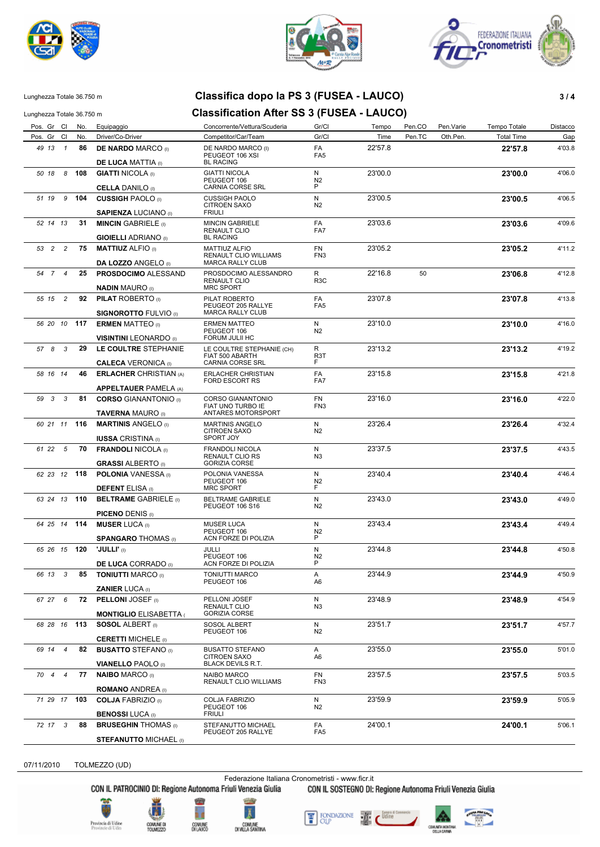





## Lunghezza Totale 36.750 m **Classifica dopo la PS 3 (FUSEA - LAUCO) 3 / 4**

Lunghezza Totale 36.750 m **Classification After SS 3 (FUSEA - LAUCO)** 

| Pos. Gr Cl                      | No. | Equipaggio                                               | Concorrente/Vettura/Scuderia                                             | Gr/Cl                        | Tempo   | Pen.CO | Pen.Varie | Tempo Totale      | Distacco |
|---------------------------------|-----|----------------------------------------------------------|--------------------------------------------------------------------------|------------------------------|---------|--------|-----------|-------------------|----------|
| Pos. Gr Cl                      | No. | Driver/Co-Driver                                         | Competitor/Car/Team                                                      | Gr/Cl                        | Time    | Pen.TC | Oth.Pen.  | <b>Total Time</b> | Gap      |
| 49 13 1                         | 86  | <b>DE NARDO MARCO (i)</b><br><b>DE LUCA MATTIA</b> (I)   | DE NARDO MARCO (I)<br>PEUGEOT 106 XSI<br><b>BL RACING</b>                | FA<br>FA <sub>5</sub>        | 22'57.8 |        |           | 22'57.8           | 4'03.8   |
| 50 18<br>- 8                    | 108 | <b>GIATTI NICOLA (I)</b>                                 | <b>GIATTI NICOLA</b>                                                     | N                            | 23'00.0 |        |           | 23'00.0           | 4'06.0   |
|                                 |     |                                                          | PEUGEOT 106                                                              | N <sub>2</sub>               |         |        |           |                   |          |
|                                 |     | <b>CELLA DANILO</b> (I)                                  | CARNIA CORSE SRL                                                         | P                            |         |        |           |                   |          |
| 9<br>51 19                      | 104 | <b>CUSSIGH PAOLO</b> (I)<br><b>SAPIENZA LUCIANO</b> (I)  | <b>CUSSIGH PAOLO</b><br><b>CITROEN SAXO</b><br><b>FRIULI</b>             | N<br>N <sub>2</sub>          | 23'00.5 |        |           | 23'00.5           | 4'06.5   |
| 52 14 13                        | 31  | <b>MINCIN GABRIELE</b> (I)                               | <b>MINCIN GABRIELE</b>                                                   | FA                           | 23'03.6 |        |           | 23'03.6           | 4'09.6   |
|                                 |     | <b>GIOIELLI ADRIANO</b> (I)                              | RENAULT CLIO<br><b>BL RACING</b>                                         | FA7                          |         |        |           |                   |          |
| 53 2 2                          | 75  | <b>MATTIUZ ALFIO</b> (I)<br><b>DA LOZZO ANGELO (I)</b>   | <b>MATTIUZ ALFIO</b><br>RENAULT CLIO WILLIAMS<br><b>MARCA RALLY CLUB</b> | <b>FN</b><br>FN <sub>3</sub> | 23'05.2 |        |           | 23'05.2           | 4'11.2   |
| 54 7 4                          | 25  | <b>PROSDOCIMO ALESSAND</b>                               | PROSDOCIMO ALESSANDRO<br>RENAULT CLIO                                    | R<br>R <sub>3</sub> C        | 22'16.8 | 50     |           | 23'06.8           | 4'12.8   |
|                                 |     | <b>NADIN MAURO</b> (I)                                   | <b>MRC SPORT</b>                                                         |                              |         |        |           |                   |          |
| $\overline{c}$<br>55 15         | 92  | <b>PILAT ROBERTO</b> (i)<br><b>SIGNOROTTO FULVIO</b> (I) | PILAT ROBERTO<br>PEUGEOT 205 RALLYE<br>MARCA RALLY CLUB                  | FA<br>FA <sub>5</sub>        | 23'07.8 |        |           | 23'07.8           | 4'13.8   |
| 56 20 10                        | 117 | <b>ERMEN MATTEO</b> (I)                                  | <b>ERMEN MATTEO</b>                                                      | N                            | 23'10.0 |        |           | 23'10.0           | 4'16.0   |
|                                 |     | <b>VISINTINI LEONARDO</b> (I)                            | PEUGEOT 106<br><b>FORUM JULII HC</b>                                     | N <sub>2</sub>               |         |        |           |                   |          |
| 57 8<br>$\overline{\mathbf{3}}$ | 29  | LE COULTRE STEPHANIE                                     | LE COULTRE STEPHANIE (CH)                                                | R                            | 23'13.2 |        |           | 23'13.2           | 4'19.2   |
|                                 |     | <b>CALECA VERONICA (I)</b>                               | FIAT 500 ABARTH<br>CARNIA CORSE SRL                                      | R <sub>3</sub> T<br>F        |         |        |           |                   |          |
| 58 16 14                        | 46  | <b>ERLACHER CHRISTIAN (A)</b>                            | <b>ERLACHER CHRISTIAN</b>                                                | FA                           | 23'15.8 |        |           | 23'15.8           | 4'21.8   |
|                                 |     | <b>APPELTAUER PAMELA (A)</b>                             | FORD ESCORT RS                                                           | FA7                          |         |        |           |                   |          |
| 59 3<br>$\overline{\mathbf{3}}$ | 81  | <b>CORSO GIANANTONIO (I)</b>                             | <b>CORSO GIANANTONIO</b>                                                 | FN                           | 23'16.0 |        |           | 23'16.0           | 4'22.0   |
|                                 |     | <b>TAVERNA MAURO</b> (I)                                 | FIAT UNO TURBO IE<br>ANTARES MOTORSPORT                                  | FN <sub>3</sub>              |         |        |           |                   |          |
| 60 21 11                        | 116 | <b>MARTINIS ANGELO</b> (I)                               | <b>MARTINIS ANGELO</b><br><b>CITROEN SAXO</b>                            | N<br>N <sub>2</sub>          | 23'26.4 |        |           | 23'26.4           | 4'32.4   |
|                                 |     | <b>IUSSA CRISTINA</b> (I)                                | SPORT JOY                                                                |                              |         |        |           |                   |          |
| 61 22<br>$5^{\circ}$            | 70  | <b>FRANDOLI NICOLA</b> (I)<br><b>GRASSI ALBERTO</b> (I)  | <b>FRANDOLI NICOLA</b><br>RENAULT CLIO RS<br><b>GORIZIA CORSE</b>        | N<br>N <sub>3</sub>          | 23'37.5 |        |           | 23'37.5           | 4'43.5   |
| 62 23 12 118                    |     | <b>POLONIA</b> VANESSA (I)                               | POLONIA VANESSA                                                          | N                            | 23'40.4 |        |           | 23'40.4           | 4'46.4   |
|                                 |     | <b>DEFENT ELISA</b> (I)                                  | PEUGEOT 106<br><b>MRC SPORT</b>                                          | N <sub>2</sub><br>F          |         |        |           |                   |          |
| 63 24 13 110                    |     | <b>BELTRAME GABRIELE</b> (I)                             | <b>BELTRAME GABRIELE</b>                                                 | N                            | 23'43.0 |        |           | 23'43.0           | 4'49.0   |
|                                 |     | <b>PICENO DENIS (I)</b>                                  | <b>PEUGEOT 106 S16</b>                                                   | N <sub>2</sub>               |         |        |           |                   |          |
| 64 25 14 114                    |     | <b>MUSER LUCA</b> (I)                                    | <b>MUSER LUCA</b>                                                        | N                            | 23'43.4 |        |           | 23'43.4           | 4'49.4   |
|                                 |     |                                                          | PEUGEOT 106<br>ACN FORZE DI POLIZIA                                      | N <sub>2</sub><br>P          |         |        |           |                   |          |
| 65 26 15 120                    |     | <b>SPANGARO THOMAS</b> (I)<br>'JULLI' (I)                | JULLI                                                                    | N                            | 23'44.8 |        |           | 23'44.8           | 4'50.8   |
|                                 |     | <b>DE LUCA CORRADO</b> (0)                               | PEUGEOT 106<br>ACN FORZE DI POLIZIA                                      | N <sub>2</sub><br>P          |         |        |           |                   |          |
| 66 13<br>$\mathbf{3}$           | 85  | <b>TONIUTTI MARCO (I)</b>                                | TONIUTTI MARCO                                                           | A                            | 23'44.9 |        |           | 23'44.9           | 4'50.9   |
|                                 |     | <b>ZANIER LUCA</b> (i)                                   | PEUGEOT 106                                                              | A6                           |         |        |           |                   |          |
| 67 27 6                         | 72  | <b>PELLONI JOSEF</b> (i)                                 | PELLONI JOSEF                                                            | N                            | 23'48.9 |        |           | 23'48.9           | 4'54.9   |
|                                 |     | <b>MONTIGLIO ELISABETTA (</b>                            | RENAULT CLIO<br><b>GORIZIA CORSE</b>                                     | N <sub>3</sub>               |         |        |           |                   |          |
| 68 28 16 113                    |     | <b>SOSOL ALBERT</b> (i)                                  | SOSOL ALBERT                                                             | N                            | 23'51.7 |        |           | 23'51.7           | 4'57.7   |
|                                 |     | <b>CERETTI MICHELE</b> (I)                               | PEUGEOT 106                                                              | N2                           |         |        |           |                   |          |
| 69 14 4                         | 82  | <b>BUSATTO STEFANO</b> (i)                               | <b>BUSATTO STEFANO</b>                                                   | A                            | 23'55.0 |        |           | 23'55.0           | 5'01.0   |
|                                 |     | <b>VIANELLO PAOLO</b> (I)                                | <b>CITROEN SAXO</b><br><b>BLACK DEVILS R.T.</b>                          | A6                           |         |        |           |                   |          |
| 70 4 4                          | 77  | <b>NAIBO MARCO (I)</b>                                   | NAIBO MARCO                                                              | FN                           | 23'57.5 |        |           | 23'57.5           | 5'03.5   |
|                                 |     | <b>ROMANO ANDREA</b> (I)                                 | RENAULT CLIO WILLIAMS                                                    | FN <sub>3</sub>              |         |        |           |                   |          |
| 71 29 17 103                    |     | <b>COLJA FABRIZIO</b> (I)                                | COLJA FABRIZIO<br>PEUGEOT 106                                            | N<br>N2                      | 23'59.9 |        |           | 23'59.9           | 5'05.9   |
|                                 |     | <b>BENOSSI LUCA</b> (I)                                  | <b>FRIULI</b>                                                            |                              |         |        |           |                   |          |
| 72 17 3                         | 88  | <b>BRUSEGHIN THOMAS</b> (I)                              | STEFANUTTO MICHAEL<br>PEUGEOT 205 RALLYE                                 | FA<br>FA <sub>5</sub>        | 24'00.1 |        |           | 24'00.1           | 5'06.1   |
|                                 |     | <b>STEFANUTTO MICHAEL (I)</b>                            |                                                                          |                              |         |        |           |                   |          |

07/11/2010 TOLMEZZO (UD)

Federazione Italiana Cronometristi - www.ficr.it<br>CON IL PATROCINIO DI: Regione Autonoma Friuli Venezia Giulia CON IL SOSTEGNO DI:

CON IL SOSTEGNO DI: Regione Autonoma Friuli Venezia Giulia





COMUNE<br>DILAUCO